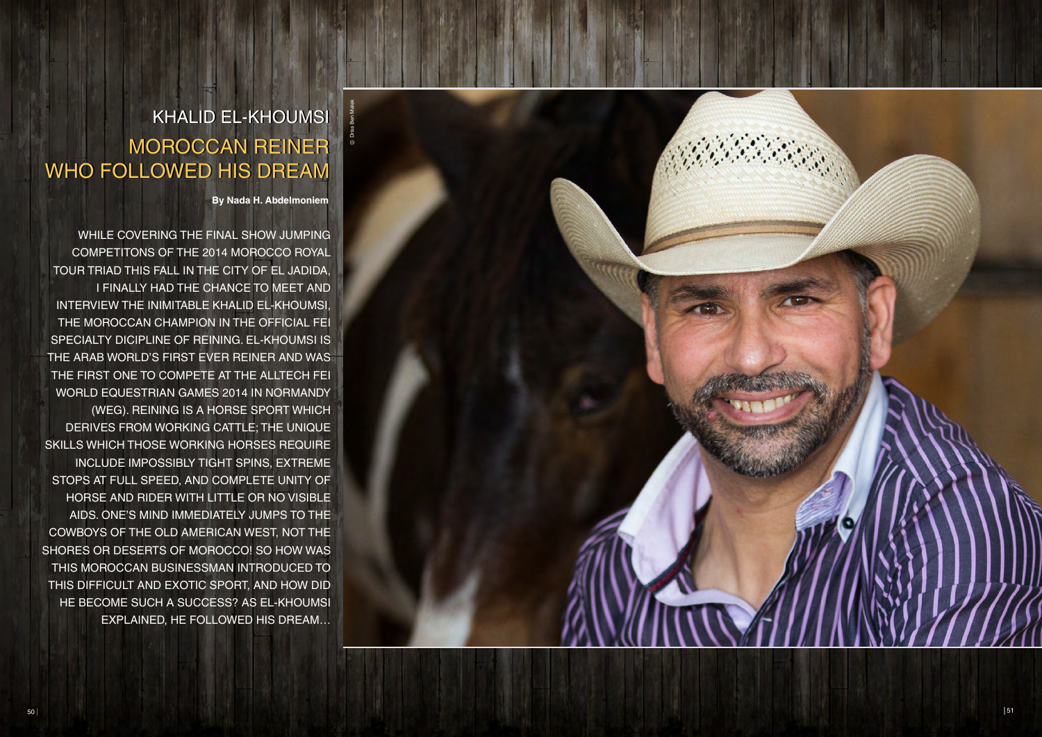**By Nada H. Abdelmoniem**

WHILE COVERING THE FINAL SHOW JUMPING COMPETITONS OF THE 2014 MOROCCO ROYAL TOUR TRIAD THIS FALL IN THE CITY OF EL JADIDA, I FINALLY HAD THE CHANCE TO MEET AND INTERVIEW THE INIMITABLE KHAL iD EL-KHOUMSI, THE MOROCCAN CHAMPION IN THE OFFICIAL FEI SPECIALTY DICIPLINE OF REINING. EL-KHOUMSI IS THE ARAB WORLD'S FIRST EVER REINER AND WAS THE FIRST ONE TO COMPETE AT THE ALLTECH FEI WORLD EQUESTRIAN GAMES 2014 IN NORMANDY (WEG). REINING IS A HORSE SPORT WHICH DERIVES FROM WORKING CATTLE; THE UNIQUE SKILLS WHICH THOSE WORKING HORSES REQUIRE INCLUDE IMPOSSIBLY TIGHT SPINS, EXTREME STOPS AT FULL SPEED, AND COMPLETE UNITY OF HORSE AND RIDER WITH LITTLE OR NO VISIBLE AIDS. ONE'S MIND IMMEDIATELY JUMPS TO THE COWBOYS OF THE OLD AMERICAN WEST, NOT THE SHORES OR DESERTS OF MOROCCO! SO HOW WAS THIS MOROCCAN BUSINESSMAN INTRODUCED TO THIS DIFFICULT AND EXOTIC SPORT, AND HOW DID HE BECOME SUCH A SUCCESS? AS EL-KHOUMSI EXPLAINED, HE FOLLOWED HIS DREAM…



# **KHALID EL-KHOUMSI** MOROCCAN REINER MOROCCAN REINER WHO FOLLOWED HIS DREAM WHO FOLLOWED HIS DREAM

Driss Ben Malek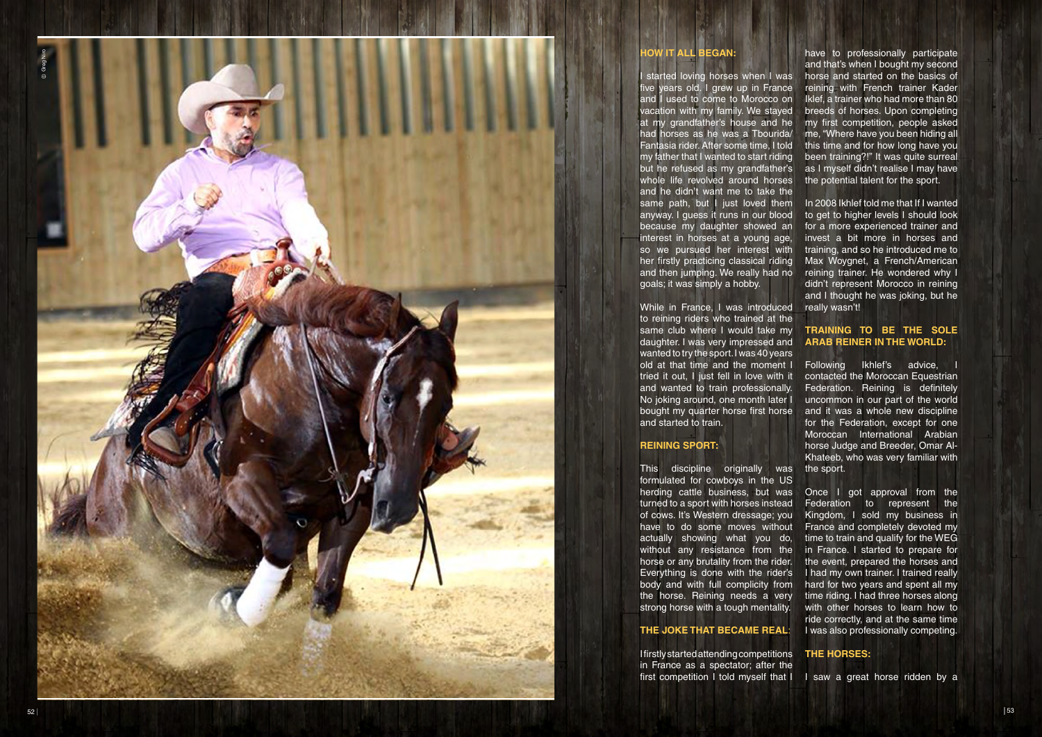#### **HOW IT ALL BEGAN :**

started loving horses when I was ive years old. I grew up in France and I used to come to Morocco on vacation with my family. We stayed at my grandfather's house and he had horses as he was a Tbourida/ Fantasia rider. After some time, I told my father that I wanted to start riding but he refused as my grandfather's whole life revolved around horses and he didn't want me to take the same path, but I just loved them anyway. I guess it runs in our blood because my daughter showed an interest in horses at a young age, so we pursued her interest with her firstly practicing classical riding and then jumping. We really had no goals; it was simply a hobby.

I firstly started attending competitions in France as a spectator; after the first competition I told myself that I **THE HO R S E S :** I saw a great horse ridden by a

While in France, I was introduced to reining riders who trained at the same club where I would take my daughter. I was very impressed and wanted to try the sport. I was 40 years old at that time and the moment I tried it out, I just fell in love with it and wanted to train professionally. No joking around, one month later I bought my quarter horse first horse and started to train.

# **REINING SPORT:**

This discipline originally was formulated for cowboys in the US herding cattle business, but was turned to a sport with horses instead of cows. It's Western dressage; you have to do some moves without actually showing what you do, without any resistance from the horse or any brutality from the rider. Everything is done with the rider's body and with full complicity from the horse. Reining needs a very strong horse with a tough mentality.

### **THE J OKE TH AT BECA ME REAL** :

have to professionally participate and that's when I bought my second horse and started on the basics of reining with French trainer Kader Iklef, a trainer who had more than 80 breeds of horses. Upon completing my first competition, people asked me, "Where have you been hiding all this time and for how long have you been training?!" It was quite surreal as I myself didn't realise I may have the potential talent for the sport.

In 2008 Ikhlef told me that If I wanted to get to higher levels I should look for a more experienced trainer and invest a bit more in horses and training, and so he introduced me to Max Woygnet, a French/American reining trainer. He wondered why I didn't represent Morocco in reining and I thought he was joking, but he really wasn't!

#### **TRAINING TO BE THE SOLE ARA B REINER IN THE W ORLD:**

Following Ikhlef's advice, I contacted the Moroccan Equestrian Federation. Reining is definitely uncommon in our part of the world and it was a whole new discipline for the Federation, except for one Moroccan International Arabian horse Judge and Breeder, Omar Al-Khateeb, who was very familiar with the sport.

Once I got approval from the Federation to represent the Kingdom, I sold my business in France and completely devoted my time to train and qualify for the WEG in France. I started to prepare for the event, prepared the horses and I had my own trainer. I trained really hard for two years and spent all my time riding. I had three horses along with other horses to learn how to ride correctly, and at the same time I was also professionally competing.